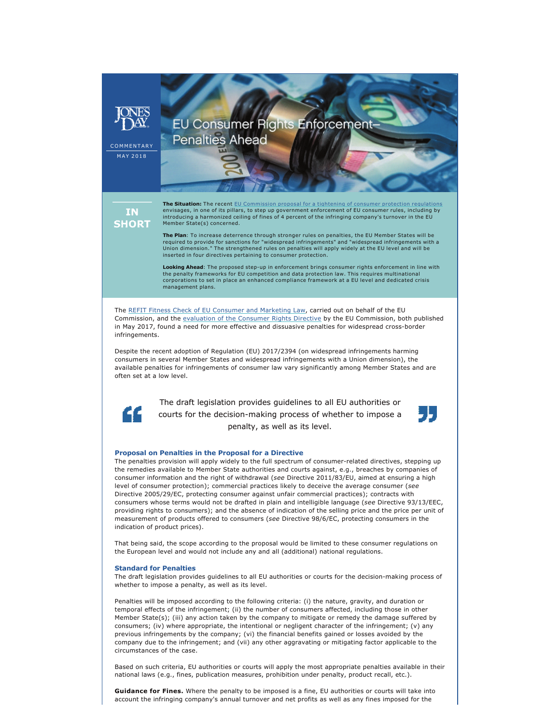COMMENTARY MAY 2018

## **EU Consumer Rights Enforcement-Penalties Ahead**

**IN SHORT** 

**The Situation:** The recent [EU Commission proposal for a tightening of consumer protection regulations](http://www.jonesday.com/be-sued-or-be-fined-european-commission-proposes-consumer-protections-expanding-class-actions-and-enforcement-powers-04-16-2018/) envisages, in one of its pillars, to step up government enforcement of EU consumer rules, including by introducing a harmonized ceiling of fines of 4 percent of the infringing company's turnover in the El Member State(s) concerned.

**The Plan**: To increase deterrence through stronger rules on penalties, the EU Member States will be required to provide for sanctions for "widespread infringements" and "widespread infringements with a Union dimension." The strengthened rules on penalties will apply widely at the EU level and will be inserted in four directives pertaining to consumer protection.

Looking Ahead: The proposed step-up in enforcement brings consumer rights enforcement in line with the penalty frameworks for EU competition and data protection law. This requires multinational corporations to set in place an enhanced compliance framework at a EU level and dedicated crisis management plans.

The [REFIT Fitness Check of EU Consumer and Marketing Law](http://ec.europa.eu/newsroom/just/item-detail.cfm?item_id=59332), carried out on behalf of the EU Commission, and the [evaluation of the Consumer Rights Directive](http://ec.europa.eu/newsroom/just/item-detail.cfm?item_id=59332) by the EU Commission, both published in May 2017, found a need for more effective and dissuasive penalties for widespread cross-border infringements.

Despite the recent adoption of Regulation (EU) 2017/2394 (on widespread infringements harming consumers in several Member States and widespread infringements with a Union dimension), the available penalties for infringements of consumer law vary significantly among Member States and are often set at a low level.



The draft legislation provides guidelines to all EU authorities or courts for the decision-making process of whether to impose a penalty, as well as its level.



## **Proposal on Penalties in the Proposal for a Directive**

The penalties provision will apply widely to the full spectrum of consumer-related directives, stepping up the remedies available to Member State authorities and courts against, e.g., breaches by companies of consumer information and the right of withdrawal (*see* Directive 2011/83/EU, aimed at ensuring a high level of consumer protection); commercial practices likely to deceive the average consumer (*see*  Directive 2005/29/EC, protecting consumer against unfair commercial practices); contracts with consumers whose terms would not be drafted in plain and intelligible language (*see* Directive 93/13/EEC, providing rights to consumers); and the absence of indication of the selling price and the price per unit of measurement of products offered to consumers (*see* Directive 98/6/EC, protecting consumers in the indication of product prices).

That being said, the scope according to the proposal would be limited to these consumer regulations on the European level and would not include any and all (additional) national regulations.

## **Standard for Penalties**

The draft legislation provides guidelines to all EU authorities or courts for the decision-making process of whether to impose a penalty, as well as its level.

Penalties will be imposed according to the following criteria: (i) the nature, gravity, and duration or temporal effects of the infringement; (ii) the number of consumers affected, including those in other Member State(s); (iii) any action taken by the company to mitigate or remedy the damage suffered by consumers; (iv) where appropriate, the intentional or negligent character of the infringement; (v) any previous infringements by the company; (vi) the financial benefits gained or losses avoided by the company due to the infringement; and (vii) any other aggravating or mitigating factor applicable to the circumstances of the case.

Based on such criteria, EU authorities or courts will apply the most appropriate penalties available in their national laws (e.g., fines, publication measures, prohibition under penalty, product recall, etc.).

**Guidance for Fines.** Where the penalty to be imposed is a fine, EU authorities or courts will take into account the infringing company's annual turnover and net profits as well as any fines imposed for the